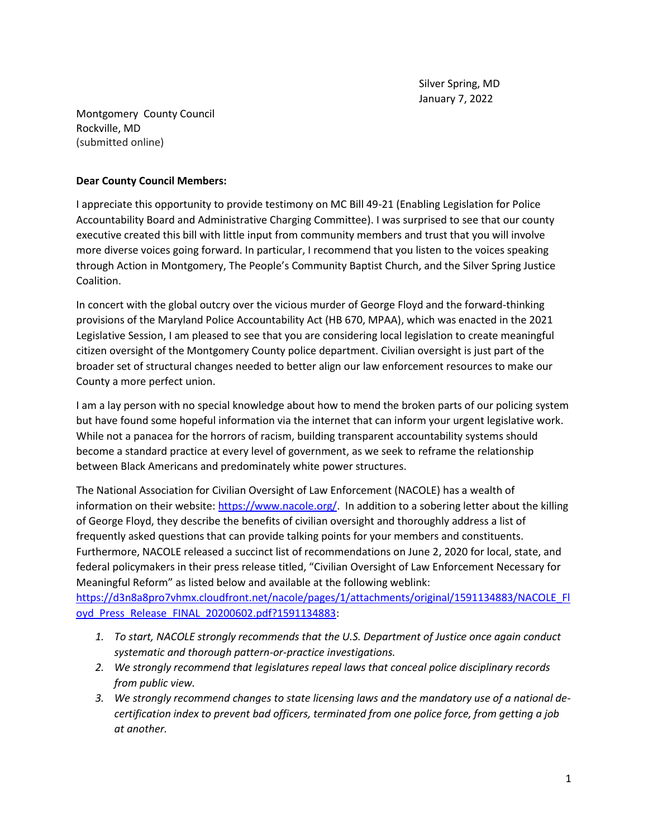Montgomery County Council Rockville, MD (submitted online)

## **Dear County Council Members:**

I appreciate this opportunity to provide testimony on MC Bill 49-21 (Enabling Legislation for Police Accountability Board and Administrative Charging Committee). I was surprised to see that our county executive created this bill with little input from community members and trust that you will involve more diverse voices going forward. In particular, I recommend that you listen to the voices speaking through Action in Montgomery, The People's Community Baptist Church, and the Silver Spring Justice Coalition.

In concert with the global outcry over the vicious murder of George Floyd and the forward-thinking provisions of the Maryland Police Accountability Act (HB 670, MPAA), which was enacted in the 2021 Legislative Session, I am pleased to see that you are considering local legislation to create meaningful citizen oversight of the Montgomery County police department. Civilian oversight is just part of the broader set of structural changes needed to better align our law enforcement resources to make our County a more perfect union.

I am a lay person with no special knowledge about how to mend the broken parts of our policing system but have found some hopeful information via the internet that can inform your urgent legislative work. While not a panacea for the horrors of racism, building transparent accountability systems should become a standard practice at every level of government, as we seek to reframe the relationship between Black Americans and predominately white power structures.

The National Association for Civilian Oversight of Law Enforcement (NACOLE) has a wealth of information on their website: [https://www.nacole.org/.](https://www.nacole.org/) In addition to a sobering letter about the killing of George Floyd, they describe the benefits of civilian oversight and thoroughly address a list of frequently asked questions that can provide talking points for your members and constituents. Furthermore, NACOLE released a succinct list of recommendations on June 2, 2020 for local, state, and federal policymakers in their press release titled, "Civilian Oversight of Law Enforcement Necessary for Meaningful Reform" as listed below and available at the following weblink:

[https://d3n8a8pro7vhmx.cloudfront.net/nacole/pages/1/attachments/original/1591134883/NACOLE\\_Fl](https://d3n8a8pro7vhmx.cloudfront.net/nacole/pages/1/attachments/original/1591134883/NACOLE_Floyd_Press_Release_FINAL_20200602.pdf?1591134883) [oyd\\_Press\\_Release\\_FINAL\\_20200602.pdf?1591134883:](https://d3n8a8pro7vhmx.cloudfront.net/nacole/pages/1/attachments/original/1591134883/NACOLE_Floyd_Press_Release_FINAL_20200602.pdf?1591134883)

- *1. To start, NACOLE strongly recommends that the U.S. Department of Justice once again conduct systematic and thorough pattern-or-practice investigations.*
- *2. We strongly recommend that legislatures repeal laws that conceal police disciplinary records from public view.*
- *3. We strongly recommend changes to state licensing laws and the mandatory use of a national decertification index to prevent bad officers, terminated from one police force, from getting a job at another.*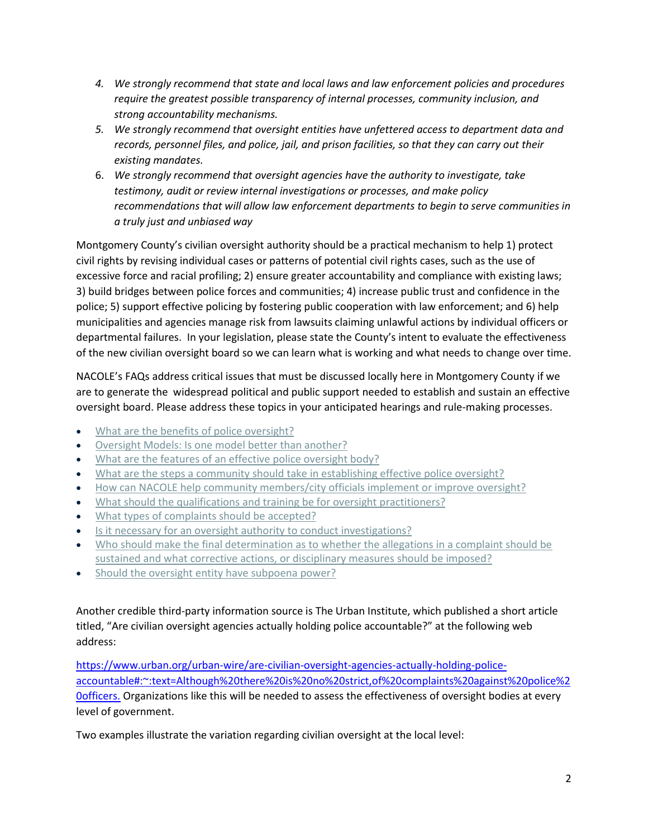- *4. We strongly recommend that state and local laws and law enforcement policies and procedures require the greatest possible transparency of internal processes, community inclusion, and strong accountability mechanisms.*
- *5. We strongly recommend that oversight entities have unfettered access to department data and records, personnel files, and police, jail, and prison facilities, so that they can carry out their existing mandates.*
- 6. *We strongly recommend that oversight agencies have the authority to investigate, take testimony, audit or review internal investigations or processes, and make policy recommendations that will allow law enforcement departments to begin to serve communities in a truly just and unbiased way*

Montgomery County's civilian oversight authority should be a practical mechanism to help 1) protect civil rights by revising individual cases or patterns of potential civil rights cases, such as the use of excessive force and racial profiling; 2) ensure greater accountability and compliance with existing laws; 3) build bridges between police forces and communities; 4) increase public trust and confidence in the police; 5) support effective policing by fostering public cooperation with law enforcement; and 6) help municipalities and agencies manage risk from lawsuits claiming unlawful actions by individual officers or departmental failures. In your legislation, please state the County's intent to evaluate the effectiveness of the new civilian oversight board so we can learn what is working and what needs to change over time.

NACOLE's FAQs address critical issues that must be discussed locally here in Montgomery County if we are to generate the widespread political and public support needed to establish and sustain an effective oversight board. Please address these topics in your anticipated hearings and rule-making processes.

- [What are the benefits of police oversight?](https://www.nacole.org/benefits)
- [Oversight Models: Is one model better than another?](https://www.nacole.org/oversight_models)
- [What are the features of an effective police oversight body?](https://www.nacole.org/police_oversight)
- [What are the steps a community should take in establishing effective police oversight?](https://www.nacole.org/steps)
- [How can NACOLE help community members/city officials implement or improve oversight?](https://www.nacole.org/improve_oversight)
- [What should the qualifications and training be for oversight practitioners?](https://www.nacole.org/qualifications)
- [What types of complaints should be accepted?](https://www.nacole.org/complaints)
- [Is it necessary for an oversight authority to conduct investigations?](https://www.nacole.org/conduct_investigations)
- [Who should make the final determination as to whether the allegations in a complaint should be](https://www.nacole.org/final_determination)  [sustained and what corrective actions, or disciplinary measures should be imposed?](https://www.nacole.org/final_determination)
- [Should the oversight entity have subpoena power?](https://www.nacole.org/subpoena_power)

Another credible third-party information source is The Urban Institute, which published a short article titled, "Are civilian oversight agencies actually holding police accountable?" at the following web address:

[https://www.urban.org/urban-wire/are-civilian-oversight-agencies-actually-holding-police](https://www.urban.org/urban-wire/are-civilian-oversight-agencies-actually-holding-police-accountable#:~:text=Although%20there%20is%20no%20strict,of%20complaints%20against%20police%20officers.)[accountable#:~:text=Although%20there%20is%20no%20strict,of%20complaints%20against%20police%2](https://www.urban.org/urban-wire/are-civilian-oversight-agencies-actually-holding-police-accountable#:~:text=Although%20there%20is%20no%20strict,of%20complaints%20against%20police%20officers.) [0officers.](https://www.urban.org/urban-wire/are-civilian-oversight-agencies-actually-holding-police-accountable#:~:text=Although%20there%20is%20no%20strict,of%20complaints%20against%20police%20officers.) Organizations like this will be needed to assess the effectiveness of oversight bodies at every level of government.

Two examples illustrate the variation regarding civilian oversight at the local level: